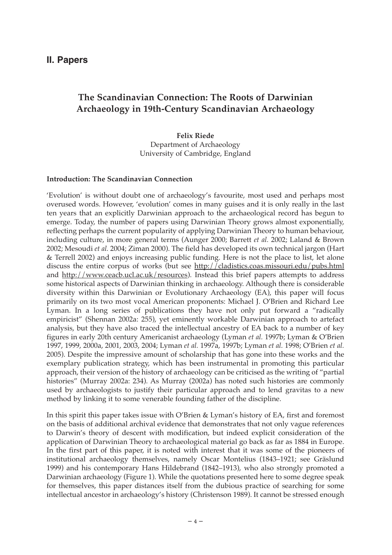# **II. Papers**

# **The Scandinavian Connection: The Roots of Darwinian Archaeology in 19th-Century Scandinavian Archaeology**

**Felix Riede** Department of Archaeology University of Cambridge, England

#### **Introduction: The Scandinavian Connection**

'Evolution' is without doubt one of archaeology's favourite, most used and perhaps most overused words. However, 'evolution' comes in many guises and it is only really in the last ten years that an explicitly Darwinian approach to the archaeological record has begun to emerge. Today, the number of papers using Darwinian Theory grows almost exponentially, reflecting perhaps the current popularity of applying Darwinian Theory to human behaviour, including culture, in more general terms (Aunger 2000; Barrett *et al.* 2002; Laland & Brown 2002; Mesoudi *et al.* 2004; Ziman 2000). The field has developed its own technical jargon (Hart & Terrell 2002) and enjoys increasing public funding. Here is not the place to list, let alone discuss the entire corpus of works (but see http://cladistics.coas.missouri.edu/pubs.html and http://www.ceacb.ucl.ac.uk/resources). Instead this brief papers attempts to address some historical aspects of Darwinian thinking in archaeology. Although there is considerable diversity within this Darwinian or Evolutionary Archaeology (EA), this paper will focus primarily on its two most vocal American proponents: Michael J. O'Brien and Richard Lee Lyman. In a long series of publications they have not only put forward a "radically empiricist" (Shennan 2002a: 255), yet eminently workable Darwinian approach to artefact analysis, but they have also traced the intellectual ancestry of EA back to a number of key figures in early 20th century Americanist archaeology (Lyman *et al.* 1997b; Lyman & O'Brien 1997, 1999, 2000a, 2001, 2003, 2004; Lyman *et al.* 1997a, 1997b; Lyman *et al.* 1998; O'Brien *et al.* 2005). Despite the impressive amount of scholarship that has gone into these works and the exemplary publication strategy, which has been instrumental in promoting this particular approach, their version of the history of archaeology can be criticised as the writing of "partial histories" (Murray 2002a: 234). As Murray (2002a) has noted such histories are commonly used by archaeologists to justify their particular approach and to lend gravitas to a new method by linking it to some venerable founding father of the discipline.

In this spirit this paper takes issue with O'Brien & Lyman's history of EA, first and foremost on the basis of additional archival evidence that demonstrates that not only vague references to Darwin's theory of descent with modification, but indeed explicit consideration of the application of Darwinian Theory to archaeological material go back as far as 1884 in Europe. In the first part of this paper, it is noted with interest that it was some of the pioneers of institutional archaeology themselves, namely Oscar Montelius (1843–1921; see Gräslund 1999) and his contemporary Hans Hildebrand (1842–1913), who also strongly promoted a Darwinian archaeology (Figure 1). While the quotations presented here to some degree speak for themselves, this paper distances itself from the dubious practice of searching for some intellectual ancestor in archaeology's history (Christenson 1989). It cannot be stressed enough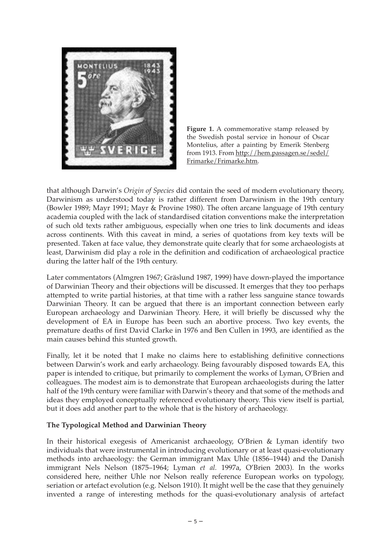



that although Darwin's *Origin of Species* did contain the seed of modern evolutionary theory, Darwinism as understood today is rather different from Darwinism in the 19th century (Bowler 1989; Mayr 1991; Mayr & Provine 1980). The often arcane language of 19th century academia coupled with the lack of standardised citation conventions make the interpretation of such old texts rather ambiguous, especially when one tries to link documents and ideas across continents. With this caveat in mind, a series of quotations from key texts will be presented. Taken at face value, they demonstrate quite clearly that for some archaeologists at least, Darwinism did play a role in the definition and codification of archaeological practice during the latter half of the 19th century.

Later commentators (Almgren 1967; Gräslund 1987, 1999) have down-played the importance of Darwinian Theory and their objections will be discussed. It emerges that they too perhaps attempted to write partial histories, at that time with a rather less sanguine stance towards Darwinian Theory. It can be argued that there is an important connection between early European archaeology and Darwinian Theory. Here, it will briefly be discussed why the development of EA in Europe has been such an abortive process. Two key events, the premature deaths of first David Clarke in 1976 and Ben Cullen in 1993, are identified as the main causes behind this stunted growth.

Finally, let it be noted that I make no claims here to establishing definitive connections between Darwin's work and early archaeology. Being favourably disposed towards EA, this paper is intended to critique, but primarily to complement the works of Lyman, O'Brien and colleagues. The modest aim is to demonstrate that European archaeologists during the latter half of the 19th century were familiar with Darwin's theory and that some of the methods and ideas they employed conceptually referenced evolutionary theory. This view itself is partial, but it does add another part to the whole that is the history of archaeology.

### **The Typological Method and Darwinian Theory**

In their historical exegesis of Americanist archaeology, O'Brien & Lyman identify two individuals that were instrumental in introducing evolutionary or at least quasi-evolutionary methods into archaeology: the German immigrant Max Uhle (1856–1944) and the Danish immigrant Nels Nelson (1875–1964; Lyman *et al.* 1997a, O'Brien 2003). In the works considered here, neither Uhle nor Nelson really reference European works on typology, seriation or artefact evolution (e.g. Nelson 1910). It might well be the case that they genuinely invented a range of interesting methods for the quasi-evolutionary analysis of artefact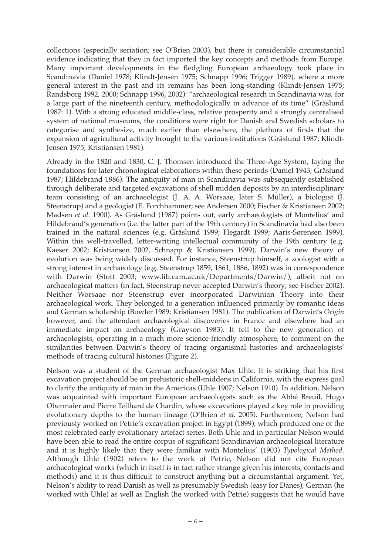collections (especially seriation; see O'Brien 2003), but there is considerable circumstantial evidence indicating that they in fact imported the key concepts and methods from Europe. Many important developments in the fledgling European archaeology took place in Scandinavia (Daniel 1978; Klindt-Jensen 1975; Schnapp 1996; Trigger 1989), where a more general interest in the past and its remains has been long-standing (Klindt-Jensen 1975; Randsborg 1992, 2000; Schnapp 1996, 2002): "archaeological research in Scandinavia was, for a large part of the nineteenth century, methodologically in advance of its time" (Gräslund 1987: 1). With a strong educated middle-class, relative prosperity and a strongly centralised system of national museums, the conditions were right for Danish and Swedish scholars to categorise and synthesize, much earlier than elsewhere, the plethora of finds that the expansion of agricultural activity brought to the various institutions (Gräslund 1987; Klindt-Jensen 1975; Kristiansen 1981).

Already in the 1820 and 1830, C. J. Thomsen introduced the Three-Age System, laying the foundations for later chronological elaborations within these periods (Daniel 1943; Gräslund 1987; Hildebrand 1886). The antiquity of man in Scandinavia was subsequently established through deliberate and targeted excavations of shell midden deposits by an interdisciplinary team consisting of an archaeologist (J. A. A. Worsaae, later S. Müller), a biologist (J. Steenstrup) and a geologist (E. Forchhammer; see Andersen 2000; Fischer & Kristiansen 2002; Madsen *et al.* 1900). As Gräslund (1987) points out, early archaeologists of Montelius' and Hildebrand's generation (i.e. the latter part of the 19th century) in Scandinavia had also been trained in the natural sciences (e.g. Gräslund 1999; Hegardt 1999; Aaris-Sørensen 1999). Within this well-travelled, letter-writing intellectual community of the 19th century (e.g. Kaeser 2002; Kristiansen 2002, Schnapp & Kristiansen 1999), Darwin's new theory of evolution was being widely discussed. For instance, Steenstrup himself, a zoologist with a strong interest in archaeology (e.g. Steenstrup 1859, 1861, 1886, 1892) was in correspondence with Darwin (Stott 2003; www.lib.cam.ac.uk/Departments/Darwin/), albeit not on archaeological matters (in fact, Steenstrup never accepted Darwin's theory; see Fischer 2002). Neither Worsaae nor Steenstrup ever incorporated Darwinian Theory into their archaeological work. They belonged to a generation influenced primarily by romantic ideas and German scholarship (Bowler 1989; Kristiansen 1981). The publication of Darwin's *Origin* however, and the attendant archaeological discoveries in France and elsewhere had an immediate impact on archaeology (Grayson 1983). It fell to the new generation of archaeologists, operating in a much more science-friendly atmosphere, to comment on the similarities between Darwin's theory of tracing organismal histories and archaeologists' methods of tracing cultural histories (Figure 2).

Nelson was a student of the German archaeologist Max Uhle. It is striking that his first excavation project should be on prehistoric shell-middens in California, with the express goal to clarify the antiquity of man in the Americas (Uhle 1907; Nelson 1910). In addition, Nelson was acquainted with important European archaeologists such as the Abbé Breuil, Hugo Obermaier and Pierre Teilhard de Chardin, whose excavations played a key role in providing evolutionary depths to the human lineage (O'Brien *et al.* 2005). Furthermore, Nelson had previously worked on Petrie's excavation project in Egypt (1899), which produced one of the most celebrated early evolutionary artefact series. Both Uhle and in particular Nelson would have been able to read the entire corpus of significant Scandinavian archaeological literature and it is highly likely that they were familiar with Montelius' (1903) *Typological Method*. Although Uhle (1902) refers to the work of Petrie, Nelson did not cite European archaeological works (which in itself is in fact rather strange given his interests, contacts and methods) and it is thus difficult to construct anything but a circumstantial argument. Yet, Nelson's ability to read Danish as well as presumably Swedish (easy for Danes), German (he worked with Uhle) as well as English (he worked with Petrie) suggests that he would have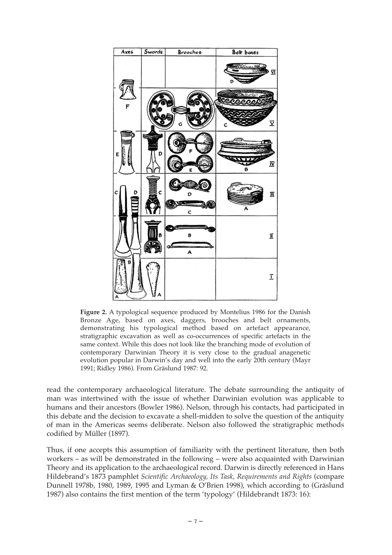

**Figure 2.** A typological sequence produced by Montelius 1986 for the Danish Bronze Age, based on axes, daggers, brooches and belt ornaments, demonstrating his typological method based on artefact appearance, stratigraphic excavation as well as co-occurrences of specific artefacts in the same context. While this does not look like the branching mode of evolution of contemporary Darwinian Theory it is very close to the gradual anagenetic evolution popular in Darwin's day and well into the early 20th century (Mayr 1991; Ridley 1986). From Gräslund 1987: 92.

read the contemporary archaeological literature. The debate surrounding the antiquity of man was intertwined with the issue of whether Darwinian evolution was applicable to humans and their ancestors (Bowler 1986). Nelson, through his contacts, had participated in this debate and the decision to excavate a shell-midden to solve the question of the antiquity of man in the Americas seems deliberate. Nelson also followed the stratigraphic methods codified by Müller (1897).

Thus, if one accepts this assumption of familiarity with the pertinent literature, then both workers – as will be demonstrated in the following – were also acquainted with Darwinian Theory and its application to the archaeological record. Darwin is directly referenced in Hans Hildebrand's 1873 pamphlet *Scientific Archaeology, Its Task, Requirements and Rights* (compare Dunnell 1978b, 1980, 1989, 1995 and Lyman & O'Brien 1998), which according to (Gräslund 1987) also contains the first mention of the term 'typology' (Hildebrandt 1873: 16):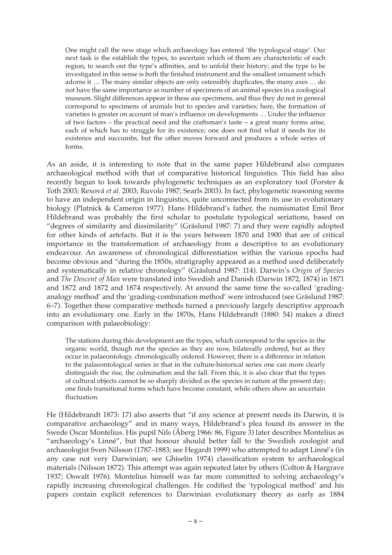One might call the new stage which archaeology has entered 'the typological stage'. Our next task is the establish the types, to ascertain which of them are characteristic of each region, to search out the type's affinities, and to unfold their history; and the type to be investigated in this sense is both the finished instrument and the smallest ornament which adorns it … The many similar objects are only ostensibly duplicates, the many axes … do not have the same importance as number of specimens of an animal species in a zoological museum. Slight differences appear in these axe specimens, and thus they do not in general correspond to specimens of animals but to species and varieties; here, the formation of varieties is greater on account of man's influence on developments … Under the influence of two factors – the practical need and the craftsman's taste – a great many forms arise, each of which has to struggle for its existence; one does not find what it needs for its existence and succumbs, but the other moves forward and produces a whole series of forms.

As an aside, it is interesting to note that in the same paper Hildebrand also compares archaeological method with that of comparative historical linguistics. This field has also recently begun to look towards phylogenetic techniques as an exploratory tool (Forster & Toth 2003; Rexová *et al.* 2003; Ruvolo 1987; Searls 2003). In fact, phylogenetic reasoning seems to have an independent origin in linguistics, quite unconnected from its use in evolutionary biology (Platnick & Cameron 1977). Hans Hildebrand's father, the numismatist Emil Bror Hildebrand was probably the first scholar to postulate typological seriations, based on "degrees of similarity and dissimilarity" (Gräslund 1987: 7) and they were rapidly adopted for other kinds of artefacts. But it is the years between 1870 and 1900 that are of critical importance in the transformation of archaeology from a descriptive to an evolutionary endeavour. An awareness of chronological differentiation within the various epochs had become obvious and "during the 1850s, stratigraphy appeared as a method used deliberately and systematically in relative chronology" (Gräslund 1987: 114). Darwin's *Origin of Species* and *The Descent of Man* were translated into Swedish and Danish (Darwin 1872, 1874) in 1871 and 1872 and 1872 and 1874 respectively. At around the same time the so-called 'gradinganalogy method' and the 'grading-combination method' were introduced (see Gräslund 1987: 6–7). Together these comparative methods turned a previously largely descriptive approach into an evolutionary one. Early in the 1870s, Hans Hildebrandt (1880: 54) makes a direct comparison with palaeobiology:

The stations during this development are the types, which correspond to the species in the organic world, though not the species as they are now, bilaterally ordered, but as they occur in palaeontology, chronologically ordered. However, there is a difference in relation to the palaeontological series in that in the culture-historical series one can more clearly distinguish the rise, the culmination and the fall. From this, it is also clear that the types of cultural objects cannot be so sharply divided as the species in nature at the present day; one finds transitional forms which have become constant, while others show an uncertain fluctuation.

He (Hildebrandt 1873: 17) also asserts that "if any science at present needs its Darwin, it is comparative archaeology" and in many ways, Hildebrand's plea found its answer in the Swede Oscar Montelius. His pupil Nils (Åberg 1966: 86, Figure 3) later describes Montelius as "archaeology's Linné", but that honour should better fall to the Swedish zoologist and archaeologist Sven Nilsson (1787–1883; see Hegardt 1999) who attempted to adapt Linné's (in any case not very Darwinian; see Ghiselin 1974) classification system to archaeological materials (Nilsson 1872). This attempt was again repeated later by others (Colton & Hargrave 1937; Oswalt 1976). Montelius himself was far more committed to solving archaeology's rapidly increasing chronological challenges. He codified the 'typological method' and his papers contain explicit references to Darwinian evolutionary theory as early as 1884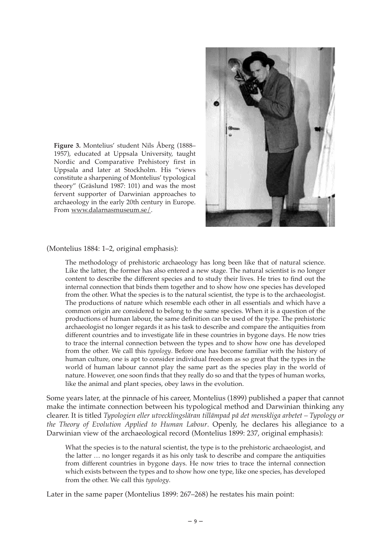

**Figure 3.** Montelius' student Nils Åberg (1888– 1957), educated at Uppsala University, taught Nordic and Comparative Prehistory first in Uppsala and later at Stockholm. His "views constitute a sharpening of Montelius' typological theory" (Gräslund 1987: 101) and was the most fervent supporter of Darwinian approaches to archaeology in the early 20th century in Europe. From www.dalarnasmuseum.se/.

(Montelius 1884: 1–2, original emphasis):

The methodology of prehistoric archaeology has long been like that of natural science. Like the latter, the former has also entered a new stage. The natural scientist is no longer content to describe the different species and to study their lives. He tries to find out the internal connection that binds them together and to show how one species has developed from the other. What the species is to the natural scientist, the type is to the archaeologist. The productions of nature which resemble each other in all essentials and which have a common origin are considered to belong to the same species. When it is a question of the productions of human labour, the same definition can be used of the type. The prehistoric archaeologist no longer regards it as his task to describe and compare the antiquities from different countries and to investigate life in these countries in bygone days. He now tries to trace the internal connection between the types and to show how one has developed from the other. We call this *typology*. Before one has become familiar with the history of human culture, one is apt to consider individual freedom as so great that the types in the world of human labour cannot play the same part as the species play in the world of nature. However, one soon finds that they really do so and that the types of human works, like the animal and plant species, obey laws in the evolution.

Some years later, at the pinnacle of his career, Montelius (1899) published a paper that cannot make the intimate connection between his typological method and Darwinian thinking any clearer. It is titled *Typologien eller utvecklingsläran tillämpad på det menskliga arbetet – Typology or the Theory of Evolution Applied to Human Labour*. Openly, he declares his allegiance to a Darwinian view of the archaeological record (Montelius 1899: 237, original emphasis):

What the species is to the natural scientist, the type is to the prehistoric archaeologist, and the latter … no longer regards it as his only task to describe and compare the antiquities from different countries in bygone days. He now tries to trace the internal connection which exists between the types and to show how one type, like one species, has developed from the other. We call this *typology*.

Later in the same paper (Montelius 1899: 267–268) he restates his main point: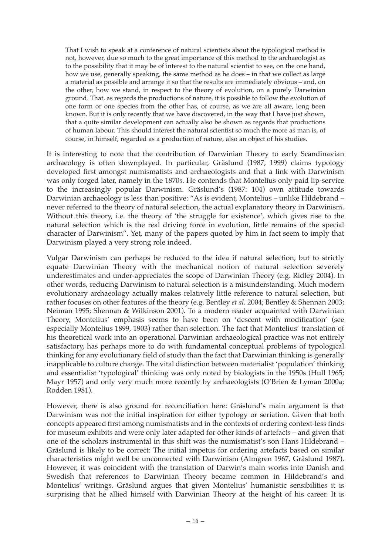That I wish to speak at a conference of natural scientists about the typological method is not, however, due so much to the great importance of this method to the archaeologist as to the possibility that it may be of interest to the natural scientist to see, on the one hand, how we use, generally speaking, the same method as he does – in that we collect as large a material as possible and arrange it so that the results are immediately obvious – and, on the other, how we stand, in respect to the theory of evolution, on a purely Darwinian ground. That, as regards the productions of nature, it is possible to follow the evolution of one form or one species from the other has, of course, as we are all aware, long been known. But it is only recently that we have discovered, in the way that I have just shown, that a quite similar development can actually also be shown as regards that productions of human labour. This should interest the natural scientist so much the more as man is, of course, in himself, regarded as a production of nature, also an object of his studies.

It is interesting to note that the contribution of Darwinian Theory to early Scandinavian archaeology is often downplayed. In particular, Gräslund (1987, 1999) claims typology developed first amongst numismatists and archaeologists and that a link with Darwinism was only forged later, namely in the 1870s. He contends that Montelius only paid lip-service to the increasingly popular Darwinism. Gräslund's (1987: 104) own attitude towards Darwinian archaeology is less than positive: "As is evident, Montelius – unlike Hildebrand – never referred to the theory of natural selection, the actual explanatory theory in Darwinism. Without this theory, i.e. the theory of 'the struggle for existence', which gives rise to the natural selection which is the real driving force in evolution, little remains of the special character of Darwinism". Yet, many of the papers quoted by him in fact seem to imply that Darwinism played a very strong role indeed.

Vulgar Darwinism can perhaps be reduced to the idea if natural selection, but to strictly equate Darwinian Theory with the mechanical notion of natural selection severely underestimates and under-appreciates the scope of Darwinian Theory (e.g. Ridley 2004). In other words, reducing Darwinism to natural selection is a misunderstanding. Much modern evolutionary archaeology actually makes relatively little reference to natural selection, but rather focuses on other features of the theory (e.g. Bentley *et al.* 2004; Bentley & Shennan 2003; Neiman 1995; Shennan & Wilkinson 2001). To a modern reader acquainted with Darwinian Theory, Montelius' emphasis seems to have been on 'descent with modification' (see especially Montelius 1899, 1903) rather than selection. The fact that Montelius' translation of his theoretical work into an operational Darwinian archaeological practice was not entirely satisfactory, has perhaps more to do with fundamental conceptual problems of typological thinking for any evolutionary field of study than the fact that Darwinian thinking is generally inapplicable to culture change. The vital distinction between materialist 'population' thinking and essentialist 'typological' thinking was only noted by biologists in the 1950s (Hull 1965; Mayr 1957) and only very much more recently by archaeologists (O'Brien & Lyman 2000a; Rodden 1981).

However, there is also ground for reconciliation here: Gräslund's main argument is that Darwinism was not the initial inspiration for either typology or seriation. Given that both concepts appeared first among numismatists and in the contexts of ordering context-less finds for museum exhibits and were only later adapted for other kinds of artefacts – and given that one of the scholars instrumental in this shift was the numismatist's son Hans Hildebrand – Gräslund is likely to be correct: The initial impetus for ordering artefacts based on similar characteristics might well be unconnected with Darwinism (Almgren 1967, Gräslund 1987). However, it was coincident with the translation of Darwin's main works into Danish and Swedish that references to Darwinian Theory became common in Hildebrand's and Montelius' writings. Gräslund argues that given Montelius' humanistic sensibilities it is surprising that he allied himself with Darwinian Theory at the height of his career. It is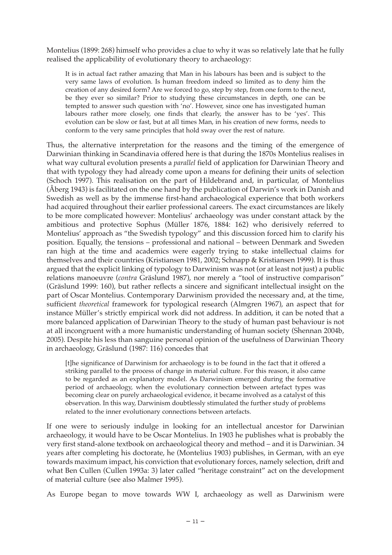Montelius (1899: 268) himself who provides a clue to why it was so relatively late that he fully realised the applicability of evolutionary theory to archaeology:

It is in actual fact rather amazing that Man in his labours has been and is subject to the very same laws of evolution. Is human freedom indeed so limited as to deny him the creation of any desired form? Are we forced to go, step by step, from one form to the next, be they ever so similar? Prior to studying these circumstances in depth, one can be tempted to answer such question with 'no'. However, since one has investigated human labours rather more closely, one finds that clearly, the answer has to be 'yes'. This evolution can be slow or fast, but at all times Man, in his creation of new forms, needs to conform to the very same principles that hold sway over the rest of nature.

Thus, the alternative interpretation for the reasons and the timing of the emergence of Darwinian thinking in Scandinavia offered here is that during the 1870s Montelius realises in what way cultural evolution presents a *parallel* field of application for Darwinian Theory and that with typology they had already come upon a means for defining their units of selection (Schoch 1997). This realisation on the part of Hildebrand and, in particular, of Montelius (Åberg 1943) is facilitated on the one hand by the publication of Darwin's work in Danish and Swedish as well as by the immense first-hand archaeological experience that both workers had acquired throughout their earlier professional careers. The exact circumstances are likely to be more complicated however: Montelius' archaeology was under constant attack by the ambitious and protective Sophus (Müller 1876, 1884: 162) who derisively referred to Montelius' approach as "the Swedish typology" and this discussion forced him to clarify his position. Equally, the tensions – professional and national – between Denmark and Sweden ran high at the time and academics were eagerly trying to stake intellectual claims for themselves and their countries (Kristiansen 1981, 2002; Schnapp & Kristiansen 1999). It is thus argued that the explicit linking of typology to Darwinism was not (or at least not just) a public relations manoeuvre (*contra* Gräslund 1987), nor merely a "tool of instructive comparison" (Gräslund 1999: 160), but rather reflects a sincere and significant intellectual insight on the part of Oscar Montelius. Contemporary Darwinism provided the necessary and, at the time, sufficient *theoretical* framework for typological research (Almgren 1967), an aspect that for instance Müller's strictly empirical work did not address. In addition, it can be noted that a more balanced application of Darwinian Theory to the study of human past behaviour is not at all incongruent with a more humanistic understanding of human society (Shennan 2004b, 2005). Despite his less than sanguine personal opinion of the usefulness of Darwinian Theory in archaeology, Gräslund (1987: 116) concedes that

[t]he significance of Darwinism for archaeology is to be found in the fact that it offered a striking parallel to the process of change in material culture. For this reason, it also came to be regarded as an explanatory model. As Darwinism emerged during the formative period of archaeology, when the evolutionary connection between artefact types was becoming clear on purely archaeological evidence, it became involved as a catalyst of this observation. In this way, Darwinism doubtlessly stimulated the further study of problems related to the inner evolutionary connections between artefacts.

If one were to seriously indulge in looking for an intellectual ancestor for Darwinian archaeology, it would have to be Oscar Montelius. In 1903 he publishes what is probably the very first stand-alone textbook on archaeological theory and method – and it is Darwinian. 34 years after completing his doctorate, he (Montelius 1903) publishes, in German, with an eye towards maximum impact, his conviction that evolutionary forces, namely selection, drift and what Ben Cullen (Cullen 1993a: 3) later called "heritage constraint" act on the development of material culture (see also Malmer 1995).

As Europe began to move towards WW I, archaeology as well as Darwinism were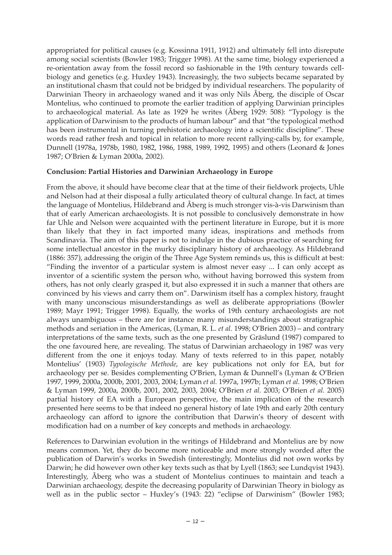appropriated for political causes (e.g. Kossinna 1911, 1912) and ultimately fell into disrepute among social scientists (Bowler 1983; Trigger 1998). At the same time, biology experienced a re-orientation away from the fossil record so fashionable in the 19th century towards cellbiology and genetics (e.g. Huxley 1943). Increasingly, the two subjects became separated by an institutional chasm that could not be bridged by individual researchers. The popularity of Darwinian Theory in archaeology waned and it was only Nils Åberg, the disciple of Oscar Montelius, who continued to promote the earlier tradition of applying Darwinian principles to archaeological material. As late as 1929 he writes (Åberg 1929: 508): "Typology is the application of Darwinism to the products of human labour" and that "the typological method has been instrumental in turning prehistoric archaeology into a scientific discipline". These words read rather fresh and topical in relation to more recent rallying-calls by, for example, Dunnell (1978a, 1978b, 1980, 1982, 1986, 1988, 1989, 1992, 1995) and others (Leonard & Jones 1987; O'Brien & Lyman 2000a, 2002).

## **Conclusion: Partial Histories and Darwinian Archaeology in Europe**

From the above, it should have become clear that at the time of their fieldwork projects, Uhle and Nelson had at their disposal a fully articulated theory of cultural change. In fact, at times the language of Montelius, Hildebrand and Åberg is much stronger vis-à-vis Darwinism than that of early American archaeologists. It is not possible to conclusively demonstrate in how far Uhle and Nelson were acquainted with the pertinent literature in Europe, but it is more than likely that they in fact imported many ideas, inspirations and methods from Scandinavia. The aim of this paper is not to indulge in the dubious practice of searching for some intellectual ancestor in the murky disciplinary history of archaeology. As Hildebrand (1886: 357), addressing the origin of the Three Age System reminds us, this is difficult at best: "Finding the inventor of a particular system is almost never easy ... I can only accept as inventor of a scientific system the person who, without having borrowed this system from others, has not only clearly grasped it, but also expressed it in such a manner that others are convinced by his views and carry them on". Darwinism itself has a complex history, fraught with many unconscious misunderstandings as well as deliberate appropriations (Bowler 1989; Mayr 1991; Trigger 1998). Equally, the works of 19th century archaeologists are not always unambiguous – there are for instance many misunderstandings about stratigraphic methods and seriation in the Americas, (Lyman, R. L. *et al.* 1998; O'Brien 2003) – and contrary interpretations of the same texts, such as the one presented by Gräslund (1987) compared to the one favoured here, are revealing. The status of Darwinian archaeology in 1987 was very different from the one it enjoys today. Many of texts referred to in this paper, notably Montelius' (1903) *Typologische Methode*, are key publications not only for EA, but for archaeology per se. Besides complementing O'Brien, Lyman & Dunnell's (Lyman & O'Brien 1997, 1999, 2000a, 2000b, 2001, 2003, 2004; Lyman *et al.* 1997a, 1997b; Lyman *et al.* 1998; O'Brien & Lyman 1999, 2000a, 2000b, 2001, 2002, 2003, 2004; O'Brien *et al.* 2003; O'Brien *et al.* 2005) partial history of EA with a European perspective, the main implication of the research presented here seems to be that indeed no general history of late 19th and early 20th century archaeology can afford to ignore the contribution that Darwin's theory of descent with modification had on a number of key concepts and methods in archaeology.

References to Darwinian evolution in the writings of Hildebrand and Montelius are by now means common. Yet, they do become more noticeable and more strongly worded after the publication of Darwin's works in Swedish (interestingly, Montelius did not own works by Darwin; he did however own other key texts such as that by Lyell (1863; see Lundqvist 1943). Interestingly, Åberg who was a student of Montelius continues to maintain and teach a Darwinian archaeology, despite the decreasing popularity of Darwinian Theory in biology as well as in the public sector – Huxley's (1943: 22) "eclipse of Darwinism" (Bowler 1983;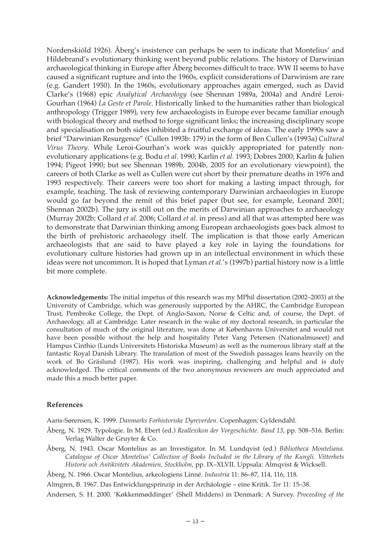Nordenskiöld 1926). Åberg's insistence can perhaps be seen to indicate that Montelius' and Hildebrand's evolutionary thinking went beyond public relations. The history of Darwinian archaeological thinking in Europe after Åberg becomes difficult to trace. WW II seems to have caused a significant rupture and into the 1960s, explicit considerations of Darwinism are rare (e.g. Gandert 1950). In the 1960s, evolutionary approaches again emerged, such as David Clarke's (1968) epic *Analytical Archaeology* (see Shennan 1989a, 2004a) and André Leroi-Gourhan (1964) *La Geste et Parole*. Historically linked to the humanities rather than biological anthropology (Trigger 1989), very few archaeologists in Europe ever became familiar enough with biological theory and method to forge significant links; the increasing disciplinary scope and specialisation on both sides inhibited a fruitful exchange of ideas. The early 1990s saw a brief "Darwinian Resurgence" (Cullen 1993b: 179) in the form of Ben Cullen's (1993a) *Cultural Virus Theory*. While Leroi-Gourhan's work was quickly appropriated for patently nonevolutionary applications (e.g. Bodu *et al.* 1990; Karlin *et al.* 1993; Dobres 2000; Karlin & Julien 1994; Pigeot 1990; but see Shennan 1989b, 2004b, 2005 for an evolutionary viewpoint), the careers of both Clarke as well as Cullen were cut short by their premature deaths in 1976 and 1993 respectively. Their careers were too short for making a lasting impact through, for example, teaching. The task of reviewing contemporary Darwinian archaeologies in Europe would go far beyond the remit of this brief paper (but see, for example, Leonard 2001; Shennan 2002b). The jury is still out on the merits of Darwinian approaches to archaeology (Murray 2002b; Collard *et al.* 2006; Collard *et al.* in press) and all that was attempted here was to demonstrate that Darwinian thinking among European archaeologists goes back almost to the birth of prehistoric archaeology itself. The implication is that those early American archaeologists that are said to have played a key role in laying the foundations for evolutionary culture histories had grown up in an intellectual environment in which these ideas were not uncommon. It is hoped that Lyman *et al.*'s (1997b) partial history now is a little bit more complete.

**Acknowledgements:** The initial impetus of this research was my MPhil dissertation (2002–2003) at the University of Cambridge, which was generously supported by the AHRC, the Cambridge European Trust, Pembroke College, the Dept. of Anglo-Saxon, Norse & Celtic and, of course, the Dept. of Archaeology, all at Cambridge. Later research in the wake of my doctoral research, in particular the consultation of much of the original literature, was done at Københavns Universitet and would not have been possible without the help and hospitality Peter Vang Petersen (Nationalmuseet) and Hampus Cinthio (Lunds Universitets Historiska Museum) as well as the numerous library staff at the fantastic Royal Danish Library. The translation of most of the Swedish passages leans heavily on the work of Bo Gräslund (1987). His work was inspiring, challenging and helpful and is duly acknowledged. The critical comments of the two anonymous reviewers are much appreciated and made this a much better paper.

#### **References**

Aaris-Sørensen, K. 1999. *Danmarks Forhistoriske Dyreverden*. Copenhagen: Gyldendahl.

- Åberg, N. 1929. Typologie. In M. Ebert (ed.) *Reallexikon der Vorgeschichte. Band 13*, pp. 508–516. Berlin: Verlag Walter de Gruyter & Co.
- Åberg, N. 1943. Oscar Montelius as an Investigator. In M. Lundqvist (ed.) *Bibliotheca Monteliana. Catalogue of Oscar Montelius' Collection of Books Included in the Library of the Kungli. Vitterhets Historie och Antikvitets Akademien, Stockholm*, pp. IX–XLVII. Uppsala: Almqvist & Wicksell.
- Åberg, N. 1966. Oscar Montelius, arkeologiens Linné. *Industria* 11: 86–87, 114, 116, 118.
- Almgren, B. 1967. Das Entwicklungsprinzip in der Archäologie eine Kritik. *Tor* 11: 15–38.

Andersen, S. H. 2000. 'Køkkenmøddinger' (Shell Middens) in Denmark: A Survey. *Proceeding of the*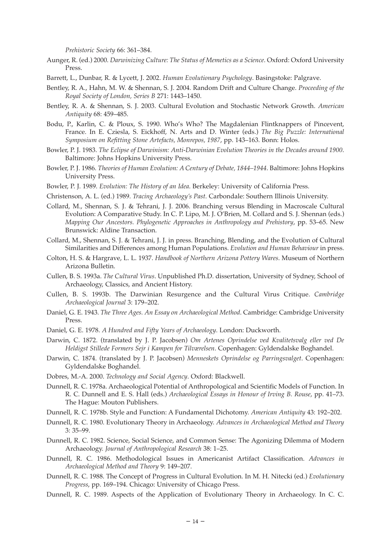*Prehistoric Society* 66: 361–384.

- Aunger, R. (ed.) 2000. *Darwinizing Culture: The Status of Memetics as a Science*. Oxford: Oxford University Press.
- Barrett, L., Dunbar, R. & Lycett, J. 2002. *Human Evolutionary Psychology*. Basingstoke: Palgrave.
- Bentley, R. A., Hahn, M. W. & Shennan, S. J. 2004. Random Drift and Culture Change. *Proceeding of the Royal Society of London, Series B* 271: 1443–1450.
- Bentley, R. A. & Shennan, S. J. 2003. Cultural Evolution and Stochastic Network Growth. *American Antiquity* 68: 459–485.
- Bodu, P., Karlin, C. & Ploux, S. 1990. Who's Who? The Magdalenian Flintknappers of Pincevent, France. In E. Cziesla, S. Eickhoff, N. Arts and D. Winter (eds.) *The Big Puzzle: International Symposium on Refitting Stone Artefacts, Monrepos, 1987*, pp. 143–163. Bonn: Holos.
- Bowler, P. J. 1983. *The Eclipse of Darwinism: Anti-Darwinian Evolution Theories in the Decades around 1900*. Baltimore: Johns Hopkins University Press.
- Bowler, P. J. 1986. *Theories of Human Evolution: A Century of Debate, 1844–1944*. Baltimore: Johns Hopkins University Press.
- Bowler, P. J. 1989. *Evolution: The History of an Idea*. Berkeley: University of California Press.
- Christenson, A. L. (ed.) 1989. *Tracing Archaeology's Past*. Carbondale: Southern Illinois University.
- Collard, M., Shennan, S. J. & Tehrani, J. J. 2006. Branching versus Blending in Macroscale Cultural Evolution: A Comparative Study. In C. P. Lipo, M. J. O'Brien, M. Collard and S. J. Shennan (eds.) *Mapping Our Ancestors. Phylogenetic Approaches in Anthropology and Prehistory*, pp. 53–65. New Brunswick: Aldine Transaction.
- Collard, M., Shennan, S. J. & Tehrani, J. J. in press. Branching, Blending, and the Evolution of Cultural Similarities and Differences among Human Populations. *Evolution and Human Behaviour* in press.
- Colton, H. S. & Hargrave, L. L. 1937. *Handbook of Northern Arizona Pottery Wares*. Museum of Northern Arizona Bulletin.
- Cullen, B. S. 1993a. *The Cultural Virus*. Unpublished Ph.D. dissertation, University of Sydney, School of Archaeology, Classics, and Ancient History.
- Cullen, B. S. 1993b. The Darwinian Resurgence and the Cultural Virus Critique. *Cambridge Archaeological Journal* 3: 179–202.
- Daniel, G. E. 1943. *The Three Ages. An Essay on Archaeological Method*. Cambridge: Cambridge University Press.
- Daniel, G. E. 1978. *A Hundred and Fifty Years of Archaeology*. London: Duckworth.
- Darwin, C. 1872. (translated by J. P. Jacobsen) *Om Artenes Oprindelse ved Kvalitetsvalg eller ved De Heldigst Stillede Formers Sejr i Kampen for Tilværelsen*. Copenhagen: Gyldendalske Boghandel.
- Darwin, C. 1874. (translated by J. P. Jacobsen) *Menneskets Oprindelse og Parringsvalget*. Copenhagen: Gyldendalske Boghandel.
- Dobres, M.-A. 2000. *Technology and Social Agency*. Oxford: Blackwell.
- Dunnell, R. C. 1978a. Archaeological Potential of Anthropological and Scientific Models of Function. In R. C. Dunnell and E. S. Hall (eds.) *Archaeological Essays in Honour of Irving B. Rouse*, pp. 41–73. The Hague: Mouton Publishers.
- Dunnell, R. C. 1978b. Style and Function: A Fundamental Dichotomy. *American Antiquity* 43: 192–202.
- Dunnell, R. C. 1980. Evolutionary Theory in Archaeology. *Advances in Archaeological Method and Theory* 3: 35–99.
- Dunnell, R. C. 1982. Science, Social Science, and Common Sense: The Agonizing Dilemma of Modern Archaeology. *Journal of Anthropological Research* 38: 1–25.
- Dunnell, R. C. 1986. Methodological Issues in Americanist Artifact Classification. *Advances in Archaeological Method and Theory* 9: 149–207.
- Dunnell, R. C. 1988. The Concept of Progress in Cultural Evolution. In M. H. Nitecki (ed.) *Evolutionary Progress*, pp. 169–194. Chicago: University of Chicago Press.
- Dunnell, R. C. 1989. Aspects of the Application of Evolutionary Theory in Archaeology. In C. C.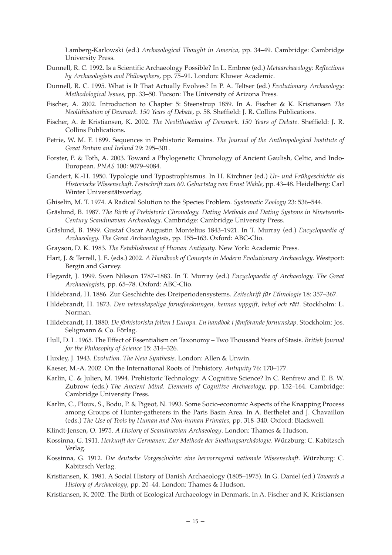Lamberg-Karlowski (ed.) *Archaeological Thought in America*, pp. 34–49. Cambridge: Cambridge University Press.

- Dunnell, R. C. 1992. Is a Scientific Archaeology Possible? In L. Embree (ed.) *Metaarchaeology: Reflections by Archaeologists and Philosophers*, pp. 75–91. London: Kluwer Academic.
- Dunnell, R. C. 1995. What is It That Actually Evolves? In P. A. Teltser (ed.) *Evolutionary Archaeology: Methodological Issues*, pp. 33–50. Tucson: The University of Arizona Press.
- Fischer, A. 2002. Introduction to Chapter 5: Steenstrup 1859. In A. Fischer & K. Kristiansen *The Neolithisation of Denmark. 150 Years of Debate*, p. 58. Sheffield: J. R. Collins Publications.
- Fischer, A. & Kristiansen, K. 2002. *The Neolithisation of Denmark. 150 Years of Debate*. Sheffield: J. R. Collins Publications.
- Petrie, W. M. F. 1899. Sequences in Prehistoric Remains. *The Journal of the Anthropological Institute of Great Britain and Ireland* 29: 295–301.
- Forster, P. & Toth, A. 2003. Toward a Phylogenetic Chronology of Ancient Gaulish, Celtic, and Indo-European. *PNAS* 100: 9079–9084.
- Gandert, K.-H. 1950. Typologie und Typostrophismus. In H. Kirchner (ed.) *Ur- und Frühgeschichte als Historische Wissenschaft. Festschrift zum 60. Geburtstag von Ernst Wahle*, pp. 43–48. Heidelberg: Carl Winter Universitätsverlag.
- Ghiselin, M. T. 1974. A Radical Solution to the Species Problem. *Systematic Zoology* 23: 536–544.
- Gräslund, B. 1987. *The Birth of Prehistoric Chronology. Dating Methods and Dating Systems in Nineteenth-Century Scandinavian Archaeology*. Cambridge: Cambridge University Press.
- Gräslund, B. 1999. Gustaf Oscar Augustin Montelius 1843–1921. In T. Murray (ed.) *Encyclopaedia of Archaeology. The Great Archaeologists*, pp. 155–163. Oxford: ABC-Clio.
- Grayson, D. K. 1983. *The Establishment of Human Antiquity*. New York: Academic Press.
- Hart, J. & Terrell, J. E. (eds.) 2002. *A Handbook of Concepts in Modern Evolutionary Archaeology*. Westport: Bergin and Garvey.
- Hegardt, J. 1999. Sven Nilsson 1787–1883. In T. Murray (ed.) *Encyclopaedia of Archaeology. The Great Archaeologists*, pp. 65–78. Oxford: ABC-Clio.
- Hildebrand, H. 1886. Zur Geschichte des Dreiperiodensystems. *Zeitschrift für Ethnologie* 18: 357–367.
- Hildebrandt, H. 1873. *Den vetenskapeliga fornsforskningen, hennes uppgift, behof och rätt*. Stockholm: L. Norman.
- Hildebrandt, H. 1880. *De förhistoriska folken I Europa. En handbok i jämförande fornunskap*. Stockholm: Jos. Seligmann & Co. Förlag.
- Hull, D. L. 1965. The Effect of Essentialism on Taxonomy Two Thousand Years of Stasis. *British Journal for the Philosophy of Science* 15: 314–326.
- Huxley, J. 1943. *Evolution. The New Synthesis*. London: Allen & Unwin.
- Kaeser, M.-A. 2002. On the International Roots of Prehistory. *Antiquity* 76: 170–177.
- Karlin, C. & Julien, M. 1994. Prehistoric Technology: A Cognitive Science? In C. Renfrew and E. B. W. Zubrow (eds.) *The Ancient Mind. Elements of Cognitive Archaeology*, pp. 152–164. Cambridge: Cambridge University Press.
- Karlin, C., Ploux, S., Bodu, P. & Pigeot, N. 1993. Some Socio-economic Aspects of the Knapping Process among Groups of Hunter-gatherers in the Paris Basin Area. In A. Berthelet and J. Chavaillon (eds.) *The Use of Tools by Human and Non-human Primates*, pp. 318–340. Oxford: Blackwell.
- Klindt-Jensen, O. 1975. *A History of Scandinavian Archaeology*. London: Thames & Hudson.
- Kossinna, G. 1911. *Herkunft der Germanen: Zur Methode der Siedlungsarchäologie*. Würzburg: C. Kabitzsch Verlag.
- Kossinna, G. 1912. *Die deutsche Vorgeschichte: eine hervorragend nationale Wissenschaft*. Würzburg: C. Kabitzsch Verlag.
- Kristiansen, K. 1981. A Social History of Danish Archaeology (1805–1975). In G. Daniel (ed.) *Towards a History of Archaeology*, pp. 20–44. London: Thames & Hudson.
- Kristiansen, K. 2002. The Birth of Ecological Archaeology in Denmark. In A. Fischer and K. Kristiansen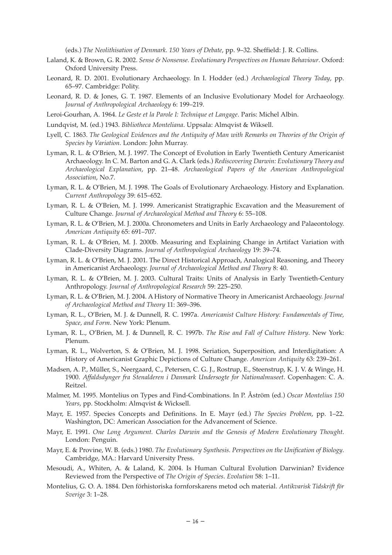(eds.) *The Neolithisation of Denmark. 150 Years of Debate*, pp. 9–32. Sheffield: J. R. Collins.

- Laland, K. & Brown, G. R. 2002. *Sense & Nonsense. Evolutionary Perspectives on Human Behaviour*. Oxford: Oxford University Press.
- Leonard, R. D. 2001. Evolutionary Archaeology. In I. Hodder (ed.) *Archaeological Theory Today*, pp. 65–97. Cambridge: Polity.
- Leonard, R. D. & Jones, G. T. 1987. Elements of an Inclusive Evolutionary Model for Archaeology. *Journal of Anthropological Archaeology* 6: 199–219.
- Leroi-Gourhan, A. 1964. *Le Geste et la Parole I: Technique et Langage*. Paris: Michel Albin.
- Lundqvist, M. (ed.) 1943. *Bibliotheca Monteliana*. Uppsala: Almqvist & Wiksell.
- Lyell, C. 1863. *The Geological Evidences and the Antiquity of Man with Remarks on Theories of the Origin of Species by Variation*. London: John Murray.
- Lyman, R. L. & O'Brien, M. J. 1997. The Concept of Evolution in Early Twentieth Century Americanist Archaeology. In C. M. Barton and G. A. Clark (eds.) *Rediscovering Darwin: Evolutionary Theory and Archaeological Explanation*, pp. 21–48. *Archaeological Papers of the American Anthropological Association*, No.7.
- Lyman, R. L. & O'Brien, M. J. 1998. The Goals of Evolutionary Archaeology. History and Explanation. *Current Anthropology* 39: 615–652.
- Lyman, R. L. & O'Brien, M. J. 1999. Americanist Stratigraphic Excavation and the Measurement of Culture Change. *Journal of Archaeological Method and Theory* 6: 55–108.
- Lyman, R. L. & O'Brien, M. J. 2000a. Chronometers and Units in Early Archaeology and Palaeontology. *American Antiquity* 65: 691–707.
- Lyman, R. L. & O'Brien, M. J. 2000b. Measuring and Explaining Change in Artifact Variation with Clade-Diversity Diagrams. *Journal of Anthropological Archaeology* 19: 39–74.
- Lyman, R. L. & O'Brien, M. J. 2001. The Direct Historical Approach, Analogical Reasoning, and Theory in Americanist Archaeology. *Journal of Archaeological Method and Theory* 8: 40.
- Lyman, R. L. & O'Brien, M. J. 2003. Cultural Traits: Units of Analysis in Early Twentieth-Century Anthropology. *Journal of Anthropological Research* 59: 225–250.
- Lyman, R. L. & O'Brien, M. J. 2004. A History of Normative Theory in Americanist Archaeology. *Journal of Archaeological Method and Theory* 11: 369–396.
- Lyman, R. L., O'Brien, M. J. & Dunnell, R. C. 1997a. *Americanist Culture History: Fundamentals of Time, Space, and Form*. New York: Plenum.
- Lyman, R. L., O'Brien, M. J. & Dunnell, R. C. 1997b. *The Rise and Fall of Culture History*. New York: Plenum.
- Lyman, R. L., Wolverton, S. & O'Brien, M. J. 1998. Seriation, Superposition, and Interdigitation: A History of Americanist Graphic Depictions of Culture Change. *American Antiquity* 63: 239–261.
- Madsen, A. P., Müller, S., Neergaard, C., Petersen, C. G. J., Rostrup, E., Steenstrup, K. J. V. & Winge, H. 1900. *Affaldsdynger fra Stenalderen i Danmark Undersogte for Nationalmuseet*. Copenhagen: C. A. Reitzel.
- Malmer, M. 1995. Montelius on Types and Find-Combinations. In P. Åström (ed.) *Oscar Montelius 150 Years*, pp. Stockholm: Almqvist & Wicksell.
- Mayr, E. 1957. Species Concepts and Definitions. In E. Mayr (ed.) *The Species Problem*, pp. 1–22. Washington, DC: American Association for the Advancement of Science.
- Mayr, E. 1991. *One Long Argument. Charles Darwin and the Genesis of Modern Evolutionary Thought*. London: Penguin.
- Mayr, E. & Provine, W. B. (eds.) 1980. *The Evolutionary Synthesis. Perspectives on the Unification of Biology*. Cambridge, MA.: Harvard University Press.
- Mesoudi, A., Whiten, A. & Laland, K. 2004. Is Human Cultural Evolution Darwinian? Evidence Reviewed from the Perspective of *The Origin of Species*. *Evolution* 58: 1–11.
- Montelius, G. O. A. 1884. Den förhistoriska fornforskarens metod och material. *Antikvarisk Tidskrift för Sverige* 3: 1–28.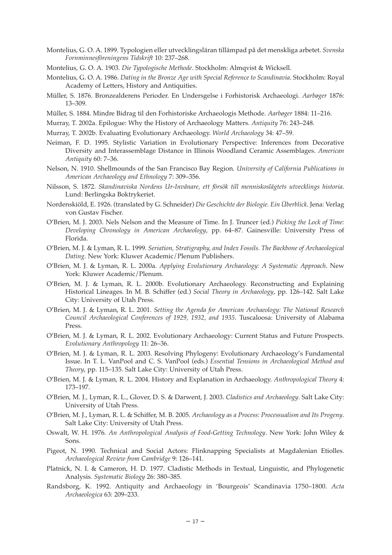Montelius, G. O. A. 1899. Typologien eller utvecklingsläran tillämpad på det menskliga arbetet. *Svenska Fornminnesföreningens Tidskrift* 10: 237–268.

Montelius, G. O. A. 1903. *Die Typologische Methode*. Stockholm: Almqvist & Wicksell.

- Montelius, G. O. A. 1986. *Dating in the Bronze Age with Special Reference to Scandinavia*. Stockholm: Royal Academy of Letters, History and Antiquities.
- Müller, S. 1876. Bronzealderens Perioder. En Undersgelse i Forhistorisk Archaeologi. *Aarbøger* 1876: 13–309.
- Müller, S. 1884. Mindre Bidrag til den Forhistoriske Archaeologis Methode. *Aarbøger* 1884: 11–216.
- Murray, T. 2002a. Epilogue: Why the History of Archaeology Matters. *Antiquity* 76: 243–248.
- Murray, T. 2002b. Evaluating Evolutionary Archaeology. *World Archaeology* 34: 47–59.
- Neiman, F. D. 1995. Stylistic Variation in Evolutionary Perspective: Inferences from Decorative Diversity and Interassemblage Distance in Illinois Woodland Ceramic Assemblages. *American Antiquity* 60: 7–36.
- Nelson, N. 1910. Shellmounds of the San Francisco Bay Region. *University of California Publications in American Archaeology and Ethnology* 7: 309–356.
- Nilsson, S. 1872. *Skandinaviska Nordens Ur-Invånare, ett försök till menniskoslägtets utvecklings historia*. Lund: Berlingska Boktrykeriet.
- Nordenskiöld, E. 1926. (translated by G. Schneider) *Die Geschichte der Biologie. Ein Überblick*. Jena: Verlag von Gustav Fischer.
- O'Brien, M. J. 2003. Nels Nelson and the Measure of Time. In J. Truncer (ed.) *Picking the Lock of Time: Developing Chronology in American Archaeology*, pp. 64–87. Gainesville: University Press of Florida.
- O'Brien, M. J. & Lyman, R. L. 1999. *Seriation, Stratigraphy, and Index Fossils. The Backbone of Archaeological Dating*. New York: Kluwer Academic/Plenum Publishers.
- O'Brien, M. J. & Lyman, R. L. 2000a. *Applying Evolutionary Archaeology: A Systematic Approach*. New York: Kluwer Academic/Plenum.
- O'Brien, M. J. & Lyman, R. L. 2000b. Evolutionary Archaeology. Reconstructing and Explaining Historical Lineages. In M. B. Schiffer (ed.) *Social Theory in Archaeology*, pp. 126–142. Salt Lake City: University of Utah Press.
- O'Brien, M. J. & Lyman, R. L. 2001. *Setting the Agenda for American Archaeology: The National Research Council Archaeological Conferences of 1929, 1932, and 1935*. Tuscaloosa: University of Alabama Press.
- O'Brien, M. J. & Lyman, R. L. 2002. Evolutionary Archaeology: Current Status and Future Prospects. *Evolutionary Anthropology* 11: 26–36.
- O'Brien, M. J. & Lyman, R. L. 2003. Resolving Phylogeny: Evolutionary Archaeology's Fundamental Issue. In T. L. VanPool and C. S. VanPool (eds.) *Essential Tensions in Archaeological Method and Theory*, pp. 115–135. Salt Lake City: University of Utah Press.
- O'Brien, M. J. & Lyman, R. L. 2004. History and Explanation in Archaeology. *Anthropological Theory* 4: 173–197.
- O'Brien, M. J., Lyman, R. L., Glover, D. S. & Darwent, J. 2003. *Cladistics and Archaeology*. Salt Lake City: University of Utah Press.
- O'Brien, M. J., Lyman, R. L. & Schiffer, M. B. 2005. *Archaeology as a Process: Processualism and Its Progeny*. Salt Lake City: University of Utah Press.
- Oswalt, W. H. 1976. *An Anthropological Analysis of Food-Getting Technology*. New York: John Wiley & Sons.
- Pigeot, N. 1990. Technical and Social Actors: Flinknapping Specialists at Magdalenian Etiolles. *Archaeological Review from Cambridge* 9: 126–141.
- Platnick, N. I. & Cameron, H. D. 1977. Cladistic Methods in Textual, Linguistic, and Phylogenetic Analysis. *Systematic Biology* 26: 380–385.
- Randsborg, K. 1992. Antiquity and Archaeology in 'Bourgeois' Scandinavia 1750–1800. *Acta Archaeologica* 63: 209–233.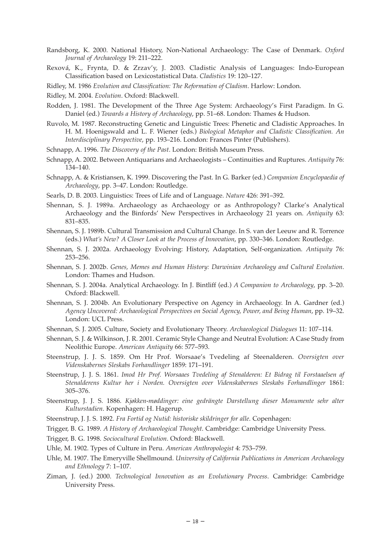- Randsborg, K. 2000. National History, Non-National Archaeology: The Case of Denmark. *Oxford Journal of Archaeology* 19: 211–222.
- Rexová, K., Frynta, D. & Zrzav'y, J. 2003. Cladistic Analysis of Languages: Indo-European Classification based on Lexicostatistical Data. *Cladistics* 19: 120–127.
- Ridley, M. 1986 *Evolution and Classification: The Reformation of Cladism*. Harlow: London.
- Ridley, M. 2004. *Evolution*. Oxford: Blackwell.
- Rodden, J. 1981. The Development of the Three Age System: Archaeology's First Paradigm. In G. Daniel (ed.) *Towards a History of Archaeology*, pp. 51–68. London: Thames & Hudson.
- Ruvolo, M. 1987. Reconstructing Genetic and Linguistic Trees: Phenetic and Cladistic Approaches. In H. M. Hoenigswald and L. F. Wiener (eds.) *Biological Metaphor and Cladistic Classification. An Interdisciplinary Perspective*, pp. 193–216. London: Frances Pinter (Publishers).
- Schnapp, A. 1996. *The Discovery of the Past*. London: British Museum Press.
- Schnapp, A. 2002. Between Antiquarians and Archaeologists Continuities and Ruptures. *Antiquity* 76: 134–140.
- Schnapp, A. & Kristiansen, K. 1999. Discovering the Past. In G. Barker (ed.) *Companion Encyclopaedia of Archaeology*, pp. 3–47. London: Routledge.
- Searls, D. B. 2003. Linguistics: Trees of Life and of Language. *Nature* 426: 391–392.
- Shennan, S. J. 1989a. Archaeology as Archaeology or as Anthropology? Clarke's Analytical Archaeology and the Binfords' New Perspectives in Archaeology 21 years on. *Antiquity* 63: 831–835.
- Shennan, S. J. 1989b. Cultural Transmission and Cultural Change. In S. van der Leeuw and R. Torrence (eds.) *What's New? A Closer Look at the Process of Innovation*, pp. 330–346. London: Routledge.
- Shennan, S. J. 2002a. Archaeology Evolving: History, Adaptation, Self-organization. *Antiquity* 76: 253–256.
- Shennan, S. J. 2002b. *Genes, Memes and Human History: Darwinian Archaeology and Cultural Evolution*. London: Thames and Hudson.
- Shennan, S. J. 2004a. Analytical Archaeology. In J. Bintliff (ed.) *A Companion to Archaeology*, pp. 3–20. Oxford: Blackwell.
- Shennan, S. J. 2004b. An Evolutionary Perspective on Agency in Archaeology. In A. Gardner (ed.) *Agency Uncovered: Archaeological Perspectives on Social Agency, Power, and Being Human*, pp. 19–32. London: UCL Press.
- Shennan, S. J. 2005. Culture, Society and Evolutionary Theory. *Archaeological Dialogues* 11: 107–114.
- Shennan, S. J. & Wilkinson, J. R. 2001. Ceramic Style Change and Neutral Evolution: A Case Study from Neolithic Europe. *American Antiquity* 66: 577–593.
- Steenstrup, J. J. S. 1859. Om Hr Prof. Worsaae's Tvedeling af Steenalderen. *Oversigten over Videnskabernes Sleskabs Forhandlinger* 1859: 171–191.
- Steenstrup, J. J. S. 1861. *Imod Hr Prof. Worsaaes Tvedeling af Stenalderen: Et Bidrag til Forstaaelsen af Stenalderens Kultur her i Norden. Oversigten over Videnskabernes Sleskabs Forhandlinger* 1861: 305–376.
- Steenstrup, J. J. S. 1886. *Kjøkken-møddinger: eine gedrängte Darstellung dieser Monumente sehr alter Kulturstadien*. Kopenhagen: H. Hagerup.
- Steenstrup, J. J. S. 1892. *Fra Fortid og Nutid: historiske skildringer for alle*. Copenhagen:
- Trigger, B. G. 1989. *A History of Archaeological Thought*. Cambridge: Cambridge University Press.
- Trigger, B. G. 1998. *Sociocultural Evolution*. Oxford: Blackwell.
- Uhle, M. 1902. Types of Culture in Peru. *American Anthropologist* 4: 753–759.
- Uhle, M. 1907. The Emeryville Shellmound. *University of California Publications in American Archaeology and Ethnology* 7: 1–107.
- Ziman, J. (ed.) 2000. *Technological Innovation as an Evolutionary Process*. Cambridge: Cambridge University Press.